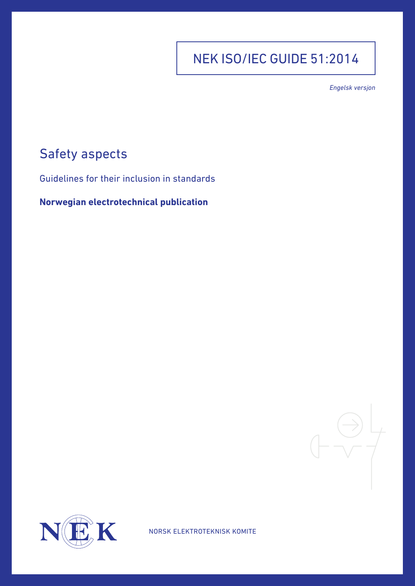## NEK ISO/IEC GUIDE 51:2014

*Engelsk versjon*

## Safety aspects

Guidelines for their inclusion in standards

**Norwegian electrotechnical publication**





NORSK ELEKTROTEKNISK KOMITE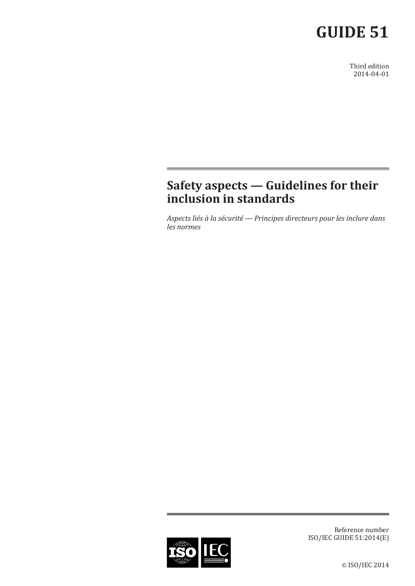# **GUIDE 51**

Third edition 2014-04-01

## **Safety aspects — Guidelines for their inclusion in standards**

*Aspects liés à la sécurité — Principes directeurs pour les inclure dans les normes*



Reference number ISO/IEC GUIDE 51:2014(E)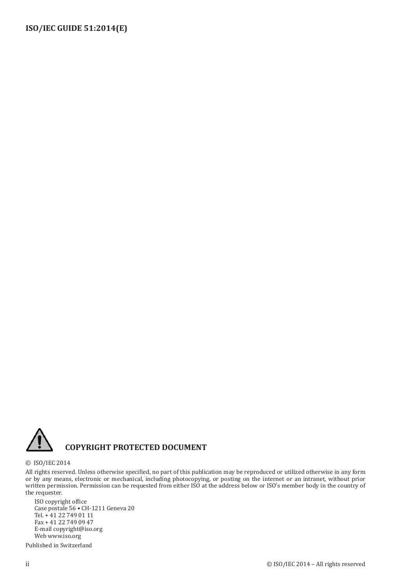

## **COPYRIGHT PROTECTED DOCUMENT**

#### © ISO/IEC 2014

All rights reserved. Unless otherwise specified, no part of this publication may be reproduced or utilized otherwise in any form or by any means, electronic or mechanical, including photocopying, or posting on the internet or an intranet, without prior written permission. Permission can be requested from either ISO at the address below or ISO's member body in the country of the requester.

ISO copyright office Case postale 56 • CH-1211 Geneva 20 Tel. + 41 22 749 01 11 Fax + 41 22 749 09 47 E-mail copyright@iso.org Web www.iso.org

Published in Switzerland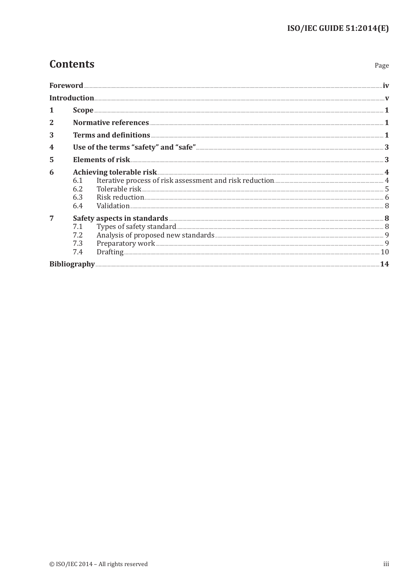Page

## **Contents**

| 1 | $\textbf{Scope} \textit{ \textbf{}} \textit{ \textbf{}} \textit{ \textbf{}} \textit{ \textbf{}} \textit{ \textbf{}} \textit{ \textbf{}} \textit{ \textbf{}} \textit{ \textbf{}} \textit{ \textbf{}} \textit{ \textbf{}} \textit{ \textbf{}} \textit{ \textbf{}} \textit{ \textbf{}} \textit{ \textbf{}} \textit{ \textbf{}} \textit{ \textbf{}} \textit{ \textbf{}} \textit{ \textbf{}} \textit{ \textbf{}} \textit{ \textbf{}} \textit{ \textbf{}} \textit{$ |  |
|---|---------------------------------------------------------------------------------------------------------------------------------------------------------------------------------------------------------------------------------------------------------------------------------------------------------------------------------------------------------------------------------------------------------------------------------------------------------------|--|
|   |                                                                                                                                                                                                                                                                                                                                                                                                                                                               |  |
| 3 |                                                                                                                                                                                                                                                                                                                                                                                                                                                               |  |
|   |                                                                                                                                                                                                                                                                                                                                                                                                                                                               |  |
| 5 |                                                                                                                                                                                                                                                                                                                                                                                                                                                               |  |
| 6 | 6.1<br>6.2<br>6.3<br>6.4                                                                                                                                                                                                                                                                                                                                                                                                                                      |  |
| 7 | 7.2<br>Preparatory work 50 and 20 and 20 and 20 and 20 and 20 and 20 and 20 and 20 and 20 and 20 and 20 and 20 and 20<br>10<br>7.3<br>7.4                                                                                                                                                                                                                                                                                                                     |  |
|   |                                                                                                                                                                                                                                                                                                                                                                                                                                                               |  |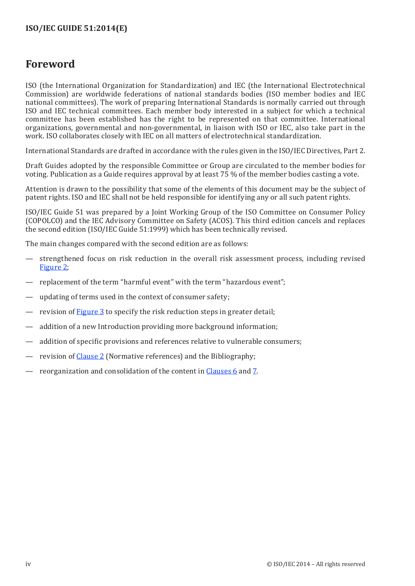## <span id="page-4-0"></span>**Foreword**

ISO (the International Organization for Standardization) and IEC (the International Electrotechnical Commission) are worldwide federations of national standards bodies (ISO member bodies and IEC national committees). The work of preparing International Standards is normally carried out through ISO and IEC technical committees. Each member body interested in a subject for which a technical committee has been established has the right to be represented on that committee. International organizations, governmental and non-governmental, in liaison with ISO or IEC, also take part in the work. ISO collaborates closely with IEC on all matters of electrotechnical standardization.

International Standards are drafted in accordance with the rules given in the ISO/IEC Directives, Part 2.

Draft Guides adopted by the responsible Committee or Group are circulated to the member bodies for voting. Publication as a Guide requires approval by at least 75 % of the member bodies casting a vote.

Attention is drawn to the possibility that some of the elements of this document may be the subject of patent rights. ISO and IEC shall not be held responsible for identifying any or all such patent rights.

ISO/IEC Guide 51 was prepared by a Joint Working Group of the ISO Committee on Consumer Policy (COPOLCO) and the IEC Advisory Committee on Safety (ACOS). This third edition cancels and replaces the second edition (ISO/IEC Guide 51:1999) which has been technically revised.

The main changes compared with the second edition are as follows:

- strengthened focus on risk reduction in the overall risk assessment process, including revised [Figure 2](#page-11-1);
- replacement of the term "harmful event" with the term "hazardous event";
- updating of terms used in the context of consumer safety;
- revision of [Figure 3](#page-13-0) to specify the risk reduction steps in greater detail;
- addition of a new Introduction providing more background information;
- addition of specific provisions and references relative to vulnerable consumers;
- revision of [Clause 2](#page-7-1) (Normative references) and the Bibliography;
- reorganization and consolidation of the content in [Clauses 6](#page-10-1) and [7](#page-14-1).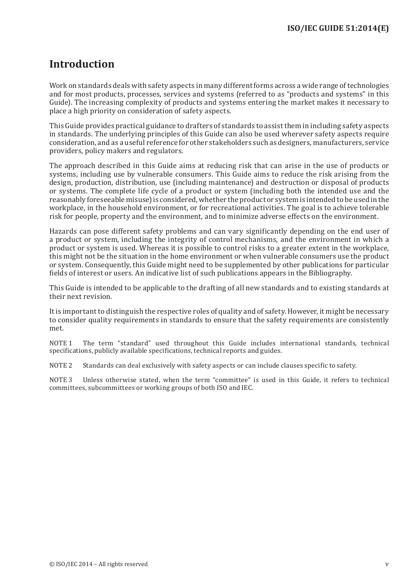## <span id="page-5-0"></span>**Introduction**

Work on standards deals with safety aspects in many different forms across a wide range of technologies and for most products, processes, services and systems (referred to as "products and systems" in this Guide). The increasing complexity of products and systems entering the market makes it necessary to place a high priority on consideration of safety aspects.

This Guide provides practical guidance to drafters of standards to assist them in including safety aspects in standards. The underlying principles of this Guide can also be used wherever safety aspects require consideration, and as a useful reference for other stakeholders such as designers, manufacturers, service providers, policy makers and regulators.

The approach described in this Guide aims at reducing risk that can arise in the use of products or systems, including use by vulnerable consumers. This Guide aims to reduce the risk arising from the design, production, distribution, use (including maintenance) and destruction or disposal of products or systems. The complete life cycle of a product or system (including both the intended use and the reasonably foreseeable misuse) is considered, whether the product or system is intended to be used in the workplace, in the household environment, or for recreational activities. The goal is to achieve tolerable risk for people, property and the environment, and to minimize adverse effects on the environment.

Hazards can pose different safety problems and can vary significantly depending on the end user of a product or system, including the integrity of control mechanisms, and the environment in which a product or system is used. Whereas it is possible to control risks to a greater extent in the workplace, this might not be the situation in the home environment or when vulnerable consumers use the product or system. Consequently, this Guide might need to be supplemented by other publications for particular fields of interest or users. An indicative list of such publications appears in the Bibliography.

This Guide is intended to be applicable to the drafting of all new standards and to existing standards at their next revision.

It is important to distinguish the respective roles of quality and of safety. However, it might be necessary to consider quality requirements in standards to ensure that the safety requirements are consistently met.

NOTE 1 The term "standard" used throughout this Guide includes international standards, technical specifications, publicly available specifications, technical reports and guides.

NOTE 2 Standards can deal exclusively with safety aspects or can include clauses specific to safety.

NOTE 3 Unless otherwise stated, when the term "committee" is used in this Guide, it refers to technical committees, subcommittees or working groups of both ISO and IEC.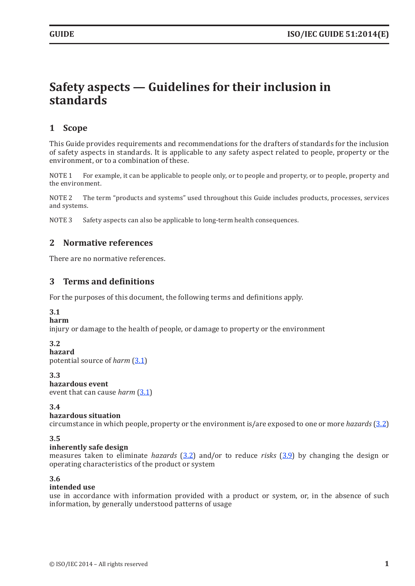## <span id="page-7-0"></span>**Safety aspects — Guidelines for their inclusion in standards**

## **1 Scope**

This Guide provides requirements and recommendations for the drafters of standards for the inclusion of safety aspects in standards. It is applicable to any safety aspect related to people, property or the environment, or to a combination of these.

NOTE 1 For example, it can be applicable to people only, or to people and property, or to people, property and the environment.

NOTE 2 The term "products and systems" used throughout this Guide includes products, processes, services and systems.

NOTE 3 Safety aspects can also be applicable to long-term health consequences.

### <span id="page-7-1"></span>**2 Normative references**

There are no normative references.

### **3 Terms and definitions**

For the purposes of this document, the following terms and definitions apply.

#### <span id="page-7-2"></span>**3.1**

#### **harm**

injury or damage to the health of people, or damage to property or the environment

#### <span id="page-7-3"></span>**3.2**

**hazard** potential source of *harm* ([3.1](#page-7-2))

<span id="page-7-6"></span>**3.3**

#### **hazardous event**

event that can cause *harm* ([3.1](#page-7-2))

#### <span id="page-7-5"></span>**3.4**

#### **hazardous situation**

circumstance in which people, property or the environment is/are exposed to one or more *hazards* ([3.2](#page-7-3))

#### <span id="page-7-7"></span>**3.5**

#### **inherently safe design**

measures taken to eliminate *hazards* ([3.2](#page-7-3)) and/or to reduce *risks* ([3.9](#page-8-0)) by changing the design or operating characteristics of the product or system

#### <span id="page-7-4"></span>**3.6**

#### **intended use**

use in accordance with information provided with a product or system, or, in the absence of such information, by generally understood patterns of usage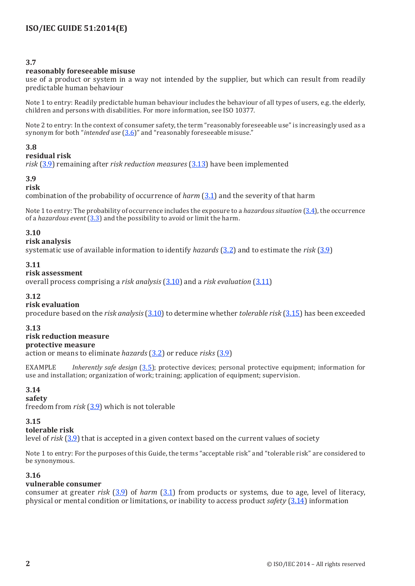#### **3.7**

#### **reasonably foreseeable misuse**

use of a product or system in a way not intended by the supplier, but which can result from readily predictable human behaviour

Note 1 to entry: Readily predictable human behaviour includes the behaviour of all types of users, e.g. the elderly, children and persons with disabilities. For more information, see ISO 10377.

Note 2 to entry: In the context of consumer safety, the term "reasonably foreseeable use" is increasingly used as a synonym for both "*intended use* ([3.6\)](#page-7-4)" and "reasonably foreseeable misuse."

#### **3.8**

#### **residual risk**

*risk* ([3.9\)](#page-8-0) remaining after *risk reduction measures* ([3.13](#page-8-1)) have been implemented

#### <span id="page-8-0"></span>**3.9**

#### **risk**

combination of the probability of occurrence of *harm* ([3.1](#page-7-2)) and the severity of that harm

Note 1 to entry: The probability of occurrence includes the exposure to a *hazardous situation* ([3.4\)](#page-7-5), the occurrence of a *hazardous event* ([3.3\)](#page-7-6) and the possibility to avoid or limit the harm.

#### <span id="page-8-2"></span>**3.10**

#### **risk analysis**

systematic use of available information to identify *hazards* ([3.2\)](#page-7-3) and to estimate the *risk* ([3.9](#page-8-0))

#### <span id="page-8-3"></span>**3.11**

#### **risk assessment**

overall process comprising a *risk analysis* ([3.10\)](#page-8-2) and a *risk evaluation* ([3.11](#page-8-3))

#### **3.12**

#### **risk evaluation**

procedure based on the *risk analysis* ([3.10](#page-8-2)) to determine whether *tolerable risk* ([3.15](#page-8-4)) has been exceeded

#### <span id="page-8-1"></span>**3.13**

### **risk reduction measure**

#### **protective measure**

action or means to eliminate *hazards* ([3.2](#page-7-3)) or reduce *risks* ([3.9](#page-8-0))

EXAMPLE *Inherently safe design* ([3.5\)](#page-7-7); protective devices; personal protective equipment; information for use and installation; organization of work; training; application of equipment; supervision.

#### <span id="page-8-5"></span>**3.14**

#### **safety**

freedom from *risk* ([3.9](#page-8-0)) which is not tolerable

#### <span id="page-8-4"></span>**3.15**

#### **tolerable risk**

level of *risk* ([3.9\)](#page-8-0) that is accepted in a given context based on the current values of society

Note 1 to entry: For the purposes of this Guide, the terms "acceptable risk" and "tolerable risk" are considered to be synonymous.

#### **3.16**

#### **vulnerable consumer**

consumer at greater *risk* ([3.9](#page-8-0)) of *harm* ([3.1\)](#page-7-2) from products or systems, due to age, level of literacy, physical or mental condition or limitations, or inability to access product *safety* ([3.14\)](#page-8-5) information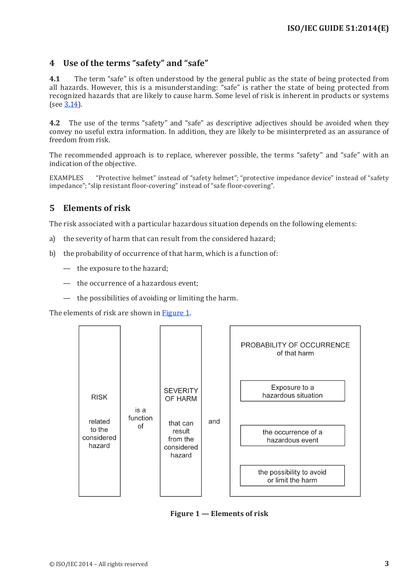## <span id="page-9-0"></span>**4 Use of the terms "safety" and "safe"**

**4.1** The term "safe" is often understood by the general public as the state of being protected from all hazards. However, this is a misunderstanding: "safe" is rather the state of being protected from recognized hazards that are likely to cause harm. Some level of risk is inherent in products or systems (see [3.14](#page-8-5)).

**4.2** The use of the terms "safety" and "safe" as descriptive adjectives should be avoided when they convey no useful extra information. In addition, they are likely to be misinterpreted as an assurance of freedom from risk.

The recommended approach is to replace, wherever possible, the terms "safety" and "safe" with an indication of the objective.

EXAMPLES "Protective helmet" instead of "safety helmet"; "protective impedance device" instead of "safety impedance"; "slip resistant floor-covering" instead of "safe floor-covering".

## **5 Elements of risk**

The risk associated with a particular hazardous situation depends on the following elements:

- a) the severity of harm that can result from the considered hazard;
- b) the probability of occurrence of that harm, which is a function of:
	- the exposure to the hazard;
	- the occurrence of a hazardous event;
	- the possibilities of avoiding or limiting the harm.

The elements of risk are shown in [Figure 1](#page-9-1).



<span id="page-9-1"></span>**Figure 1 — Elements of risk**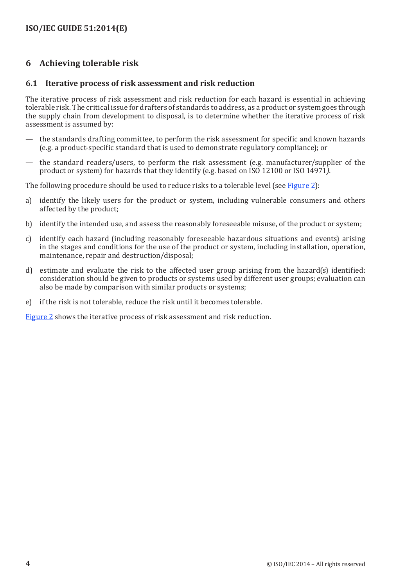## <span id="page-10-1"></span><span id="page-10-0"></span>**6 Achieving tolerable risk**

#### **6.1 Iterative process of risk assessment and risk reduction**

The iterative process of risk assessment and risk reduction for each hazard is essential in achieving tolerable risk. The critical issue for drafters of standards to address, as a product or system goes through the supply chain from development to disposal, is to determine whether the iterative process of risk assessment is assumed by:

- the standards drafting committee, to perform the risk assessment for specific and known hazards (e.g. a product-specific standard that is used to demonstrate regulatory compliance); or
- the standard readers/users, to perform the risk assessment (e.g. manufacturer/supplier of the product or system) for hazards that they identify (e.g. based on ISO 12100 or ISO 14971*).*

The following procedure should be used to reduce risks to a tolerable level (see [Figure 2](#page-11-1)):

- a) identify the likely users for the product or system, including vulnerable consumers and others affected by the product;
- b) identify the intended use, and assess the reasonably foreseeable misuse, of the product or system;
- c) identify each hazard (including reasonably foreseeable hazardous situations and events) arising in the stages and conditions for the use of the product or system, including installation, operation, maintenance, repair and destruction/disposal;
- d) estimate and evaluate the risk to the affected user group arising from the hazard(s) identified: consideration should be given to products or systems used by different user groups; evaluation can also be made by comparison with similar products or systems;
- e) if the risk is not tolerable, reduce the risk until it becomes tolerable.

[Figure 2](#page-11-1) shows the iterative process of risk assessment and risk reduction.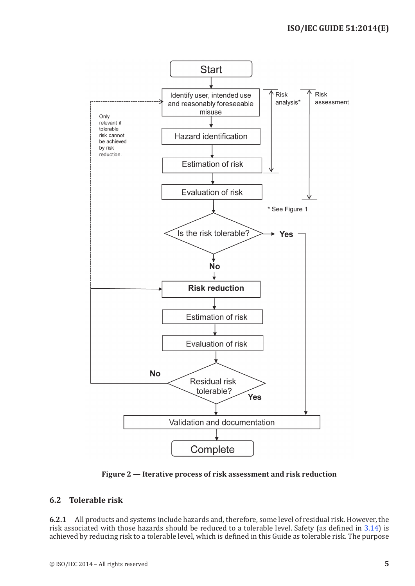<span id="page-11-0"></span>

<span id="page-11-1"></span>**Figure 2 — Iterative process of risk assessment and risk reduction**

## **6.2 Tolerable risk**

**6.2.1** All products and systems include hazards and, therefore, some level of residual risk. However, the risk associated with those hazards should be reduced to a tolerable level. Safety (as defined in [3.14](#page-8-5)) is achieved by reducing risk to a tolerable level, which is defined in this Guide as tolerable risk. The purpose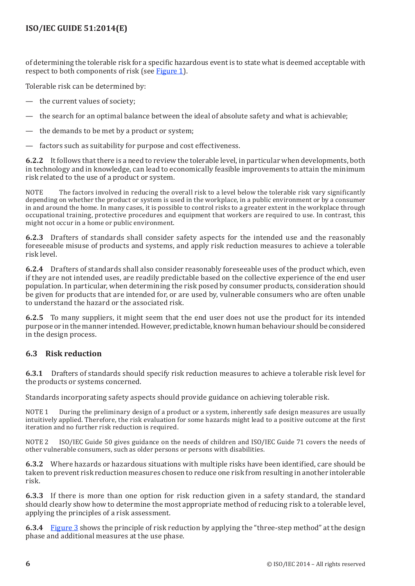<span id="page-12-0"></span>of determining the tolerable risk for a specific hazardous event is to state what is deemed acceptable with respect to both components of risk (see [Figure 1](#page-9-1)).

Tolerable risk can be determined by:

- the current values of society;
- the search for an optimal balance between the ideal of absolute safety and what is achievable;
- the demands to be met by a product or system;
- factors such as suitability for purpose and cost effectiveness.

**6.2.2** It follows that there is a need to review the tolerable level, in particular when developments, both in technology and in knowledge, can lead to economically feasible improvements to attain the minimum risk related to the use of a product or system.

NOTE The factors involved in reducing the overall risk to a level below the tolerable risk vary significantly depending on whether the product or system is used in the workplace, in a public environment or by a consumer in and around the home. In many cases, it is possible to control risks to a greater extent in the workplace through occupational training, protective procedures and equipment that workers are required to use. In contrast, this might not occur in a home or public environment.

**6.2.3** Drafters of standards shall consider safety aspects for the intended use and the reasonably foreseeable misuse of products and systems, and apply risk reduction measures to achieve a tolerable risk level.

**6.2.4** Drafters of standards shall also consider reasonably foreseeable uses of the product which, even if they are not intended uses, are readily predictable based on the collective experience of the end user population. In particular, when determining the risk posed by consumer products, consideration should be given for products that are intended for, or are used by, vulnerable consumers who are often unable to understand the hazard or the associated risk.

**6.2.5** To many suppliers, it might seem that the end user does not use the product for its intended purpose or in the manner intended. However, predictable, known human behaviour should be considered in the design process.

#### **6.3 Risk reduction**

**6.3.1** Drafters of standards should specify risk reduction measures to achieve a tolerable risk level for the products or systems concerned.

Standards incorporating safety aspects should provide guidance on achieving tolerable risk.

NOTE 1 During the preliminary design of a product or a system, inherently safe design measures are usually intuitively applied. Therefore, the risk evaluation for some hazards might lead to a positive outcome at the first iteration and no further risk reduction is required.

NOTE 2 ISO/IEC Guide 50 gives guidance on the needs of children and ISO/IEC Guide 71 covers the needs of other vulnerable consumers, such as older persons or persons with disabilities.

**6.3.2** Where hazards or hazardous situations with multiple risks have been identified, care should be taken to prevent risk reduction measures chosen to reduce one risk from resulting in another intolerable risk.

**6.3.3** If there is more than one option for risk reduction given in a safety standard, the standard should clearly show how to determine the most appropriate method of reducing risk to a tolerable level, applying the principles of a risk assessment.

**6.3.4** [Figure 3](#page-13-0) shows the principle of risk reduction by applying the "three-step method" at the design phase and additional measures at the use phase.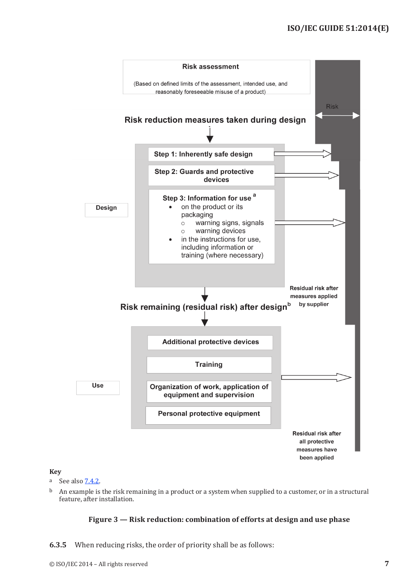

#### **Key**

- <sup>a</sup> See also [7.4.2](#page-17-0).
- $b$  An example is the risk remaining in a product or a system when supplied to a customer, or in a structural feature, after installation.

#### <span id="page-13-0"></span>**Figure 3 — Risk reduction: combination of efforts at design and use phase**

**6.3.5** When reducing risks, the order of priority shall be as follows: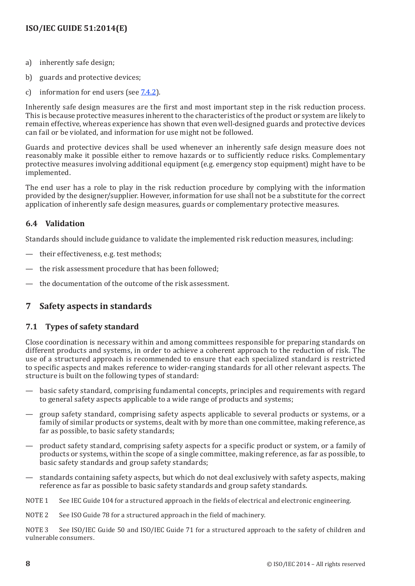- <span id="page-14-0"></span>a) inherently safe design;
- b) guards and protective devices;
- c) information for end users (see [7.4.2\)](#page-17-0).

Inherently safe design measures are the first and most important step in the risk reduction process. This is because protective measures inherent to the characteristics of the product or system are likely to remain effective, whereas experience has shown that even well-designed guards and protective devices can fail or be violated, and information for use might not be followed.

Guards and protective devices shall be used whenever an inherently safe design measure does not reasonably make it possible either to remove hazards or to sufficiently reduce risks. Complementary protective measures involving additional equipment (e.g. emergency stop equipment) might have to be implemented.

The end user has a role to play in the risk reduction procedure by complying with the information provided by the designer/supplier. However, information for use shall not be a substitute for the correct application of inherently safe design measures, guards or complementary protective measures.

## **6.4 Validation**

Standards should include guidance to validate the implemented risk reduction measures, including:

- their effectiveness, e.g. test methods;
- the risk assessment procedure that has been followed;
- the documentation of the outcome of the risk assessment.

## <span id="page-14-1"></span>**7 Safety aspects in standards**

### **7.1 Types of safety standard**

Close coordination is necessary within and among committees responsible for preparing standards on different products and systems, in order to achieve a coherent approach to the reduction of risk. The use of a structured approach is recommended to ensure that each specialized standard is restricted to specific aspects and makes reference to wider-ranging standards for all other relevant aspects. The structure is built on the following types of standard:

- basic safety standard, comprising fundamental concepts, principles and requirements with regard to general safety aspects applicable to a wide range of products and systems;
- group safety standard, comprising safety aspects applicable to several products or systems, or a family of similar products or systems, dealt with by more than one committee, making reference, as far as possible, to basic safety standards;
- product safety standard, comprising safety aspects for a specific product or system, or a family of products or systems, within the scope of a single committee, making reference, as far as possible, to basic safety standards and group safety standards;
- standards containing safety aspects, but which do not deal exclusively with safety aspects, making reference as far as possible to basic safety standards and group safety standards.
- NOTE 1 See IEC Guide 104 for a structured approach in the fields of electrical and electronic engineering.
- NOTE 2 See ISO Guide 78 for a structured approach in the field of machinery.

NOTE 3 See ISO/IEC Guide 50 and ISO/IEC Guide 71 for a structured approach to the safety of children and vulnerable consumers.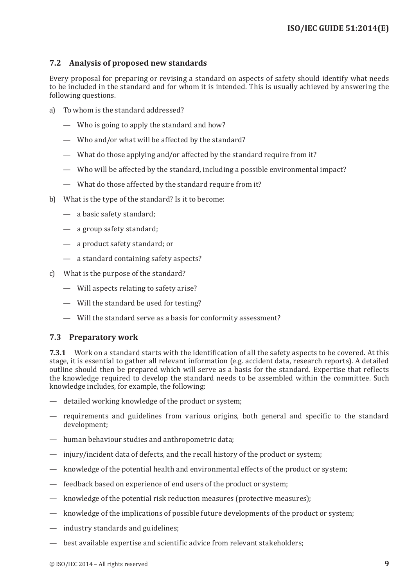### <span id="page-15-0"></span>**7.2 Analysis of proposed new standards**

Every proposal for preparing or revising a standard on aspects of safety should identify what needs to be included in the standard and for whom it is intended. This is usually achieved by answering the following questions.

- a) To whom is the standard addressed?
	- Who is going to apply the standard and how?
	- Who and/or what will be affected by the standard?
	- What do those applying and/or affected by the standard require from it?
	- Who will be affected by the standard, including a possible environmental impact?
	- What do those affected by the standard require from it?
- b) What is the type of the standard? Is it to become:
	- a basic safety standard;
	- a group safety standard;
	- a product safety standard; or
	- a standard containing safety aspects?
- c) What is the purpose of the standard?
	- Will aspects relating to safety arise?
	- Will the standard be used for testing?
	- Will the standard serve as a basis for conformity assessment?

### **7.3 Preparatory work**

**7.3.1** Work on a standard starts with the identification of all the safety aspects to be covered. At this stage, it is essential to gather all relevant information (e.g. accident data, research reports). A detailed outline should then be prepared which will serve as a basis for the standard. Expertise that reflects the knowledge required to develop the standard needs to be assembled within the committee. Such knowledge includes, for example, the following:

- detailed working knowledge of the product or system;
- requirements and guidelines from various origins, both general and specific to the standard development;
- human behaviour studies and anthropometric data;
- injury/incident data of defects, and the recall history of the product or system;
- knowledge of the potential health and environmental effects of the product or system;
- feedback based on experience of end users of the product or system;
- knowledge of the potential risk reduction measures (protective measures);
- knowledge of the implications of possible future developments of the product or system;
- industry standards and guidelines;
- best available expertise and scientific advice from relevant stakeholders;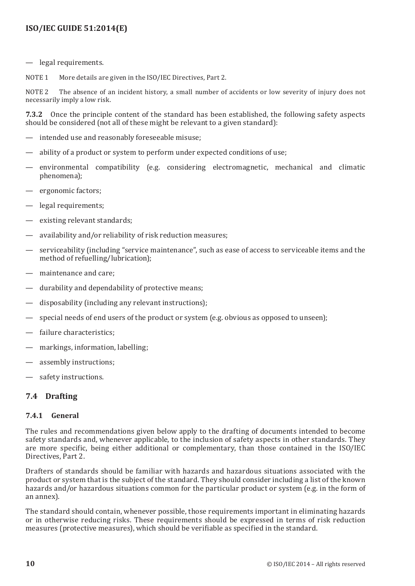<span id="page-16-0"></span>legal requirements.

NOTE 1 More details are given in the ISO/IEC Directives, Part 2.

NOTE 2 The absence of an incident history, a small number of accidents or low severity of injury does not necessarily imply a low risk.

**7.3.2** Once the principle content of the standard has been established, the following safety aspects should be considered (not all of these might be relevant to a given standard):

- intended use and reasonably foreseeable misuse;
- ability of a product or system to perform under expected conditions of use;
- environmental compatibility (e.g. considering electromagnetic, mechanical and climatic phenomena);
- ergonomic factors;
- legal requirements;
- existing relevant standards;
- availability and/or reliability of risk reduction measures;
- serviceability (including "service maintenance", such as ease of access to serviceable items and the method of refuelling/lubrication);
- maintenance and care;
- durability and dependability of protective means;
- disposability (including any relevant instructions):
- special needs of end users of the product or system (e.g. obvious as opposed to unseen);
- failure characteristics:
- markings, information, labelling;
- assembly instructions;
- safety instructions.

#### **7.4 Drafting**

#### **7.4.1 General**

The rules and recommendations given below apply to the drafting of documents intended to become safety standards and, whenever applicable, to the inclusion of safety aspects in other standards. They are more specific, being either additional or complementary, than those contained in the ISO/IEC Directives, Part 2.

Drafters of standards should be familiar with hazards and hazardous situations associated with the product or system that is the subject of the standard. They should consider including a list of the known hazards and/or hazardous situations common for the particular product or system (e.g. in the form of an annex).

The standard should contain, whenever possible, those requirements important in eliminating hazards or in otherwise reducing risks. These requirements should be expressed in terms of risk reduction measures (protective measures), which should be verifiable as specified in the standard.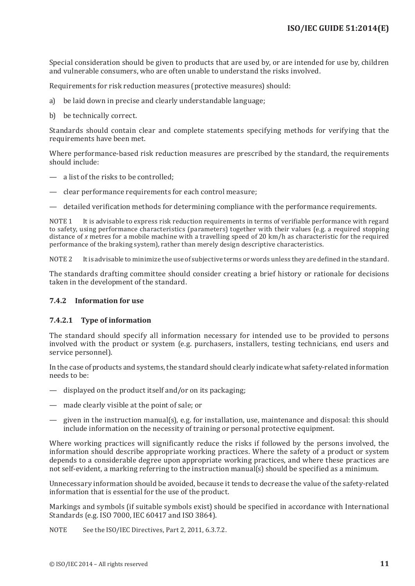Special consideration should be given to products that are used by, or are intended for use by, children and vulnerable consumers, who are often unable to understand the risks involved.

Requirements for risk reduction measures (protective measures) should:

- a) be laid down in precise and clearly understandable language;
- b) be technically correct.

Standards should contain clear and complete statements specifying methods for verifying that the requirements have been met.

Where performance-based risk reduction measures are prescribed by the standard, the requirements should include:

- a list of the risks to be controlled;
- clear performance requirements for each control measure;
- detailed verification methods for determining compliance with the performance requirements.

NOTE 1 It is advisable to express risk reduction requirements in terms of verifiable performance with regard to safety, using performance characteristics (parameters) together with their values (e.g. a required stopping distance of *x* metres for a mobile machine with a travelling speed of 20 km/h as characteristic for the required performance of the braking system), rather than merely design descriptive characteristics.

NOTE 2 It is advisable to minimize the use of subjective terms or words unless they are defined in the standard.

The standards drafting committee should consider creating a brief history or rationale for decisions taken in the development of the standard.

#### <span id="page-17-0"></span>**7.4.2 Information for use**

#### **7.4.2.1 Type of information**

The standard should specify all information necessary for intended use to be provided to persons involved with the product or system (e.g. purchasers, installers, testing technicians, end users and service personnel).

In the case of products and systems, the standard should clearly indicate what safety-related information needs to be:

- displayed on the product itself and/or on its packaging;
- made clearly visible at the point of sale; or
- given in the instruction manual(s), e.g. for installation, use, maintenance and disposal: this should include information on the necessity of training or personal protective equipment.

Where working practices will significantly reduce the risks if followed by the persons involved, the information should describe appropriate working practices. Where the safety of a product or system depends to a considerable degree upon appropriate working practices, and where these practices are not self-evident, a marking referring to the instruction manual(s) should be specified as a minimum.

Unnecessary information should be avoided, because it tends to decrease the value of the safety-related information that is essential for the use of the product.

Markings and symbols (if suitable symbols exist) should be specified in accordance with International Standards (e.g. ISO 7000, IEC 60417 and ISO 3864).

NOTE See the ISO/IEC Directives, Part 2, 2011, 6.3.7.2.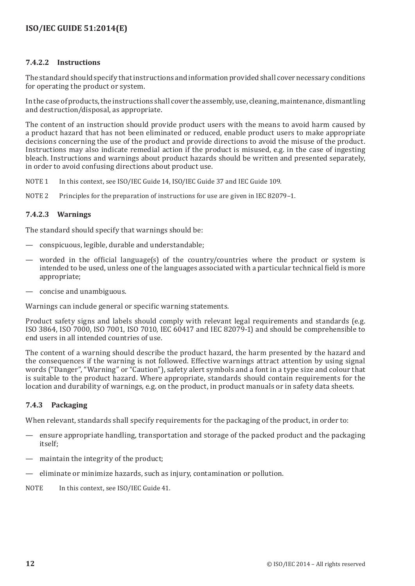#### **7.4.2.2 Instructions**

The standard should specify that instructions and information provided shall cover necessary conditions for operating the product or system.

In the case of products, the instructions shall cover the assembly, use, cleaning, maintenance, dismantling and destruction/disposal, as appropriate.

The content of an instruction should provide product users with the means to avoid harm caused by a product hazard that has not been eliminated or reduced, enable product users to make appropriate decisions concerning the use of the product and provide directions to avoid the misuse of the product. Instructions may also indicate remedial action if the product is misused, e.g. in the case of ingesting bleach. Instructions and warnings about product hazards should be written and presented separately, in order to avoid confusing directions about product use.

- NOTE 1 In this context, see ISO/IEC Guide 14, ISO/IEC Guide 37 and IEC Guide 109.
- NOTE 2 Principles for the preparation of instructions for use are given in IEC 82079-1.

#### **7.4.2.3 Warnings**

The standard should specify that warnings should be:

- conspicuous, legible, durable and understandable;
- worded in the official language(s) of the country/countries where the product or system is intended to be used, unless one of the languages associated with a particular technical field is more appropriate;
- concise and unambiguous.

Warnings can include general or specific warning statements.

Product safety signs and labels should comply with relevant legal requirements and standards (e.g. ISO 3864, ISO 7000, ISO 7001, ISO 7010, IEC 60417 and IEC 82079-1) and should be comprehensible to end users in all intended countries of use.

The content of a warning should describe the product hazard, the harm presented by the hazard and the consequences if the warning is not followed. Effective warnings attract attention by using signal words ("Danger", "Warning" or "Caution"), safety alert symbols and a font in a type size and colour that is suitable to the product hazard. Where appropriate, standards should contain requirements for the location and durability of warnings, e.g. on the product, in product manuals or in safety data sheets.

### **7.4.3 Packaging**

When relevant, standards shall specify requirements for the packaging of the product, in order to:

- ensure appropriate handling, transportation and storage of the packed product and the packaging itself;
- maintain the integrity of the product;
- eliminate or minimize hazards, such as injury, contamination or pollution.
- NOTE In this context, see ISO/IEC Guide 41.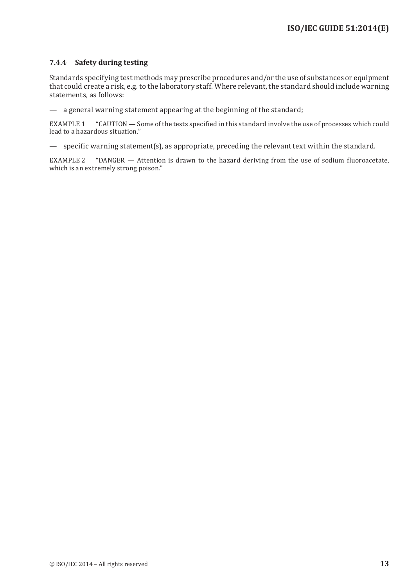#### **7.4.4 Safety during testing**

Standards specifying test methods may prescribe procedures and/or the use of substances or equipment that could create a risk, e.g. to the laboratory staff. Where relevant, the standard should include warning statements, as follows:

— a general warning statement appearing at the beginning of the standard;

EXAMPLE 1 "CAUTION — Some of the tests specified in this standard involve the use of processes which could lead to a hazardous situation."

— specific warning statement(s), as appropriate, preceding the relevant text within the standard.

EXAMPLE 2 "DANGER — Attention is drawn to the hazard deriving from the use of sodium fluoroacetate, which is an extremely strong poison."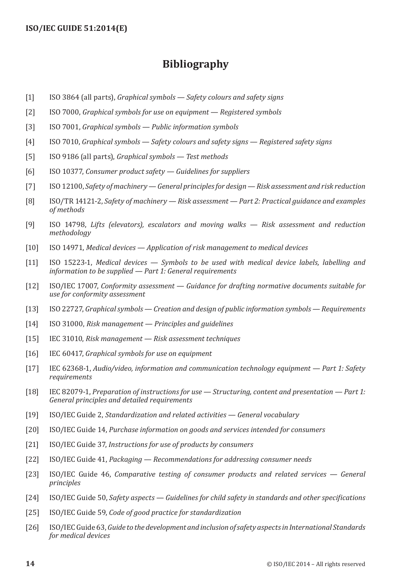## **Bibliography**

- <span id="page-20-0"></span>[1] ISO 3864 (all parts), *Graphical symbols — Safety colours and safety signs*
- [2] ISO 7000, *Graphical symbols for use on equipment Registered symbols*
- [3] ISO 7001, *Graphical symbols Public information symbols*
- [4] ISO 7010, *Graphical symbols Safety colours and safety signs Registered safety signs*
- [5] ISO 9186 (all parts), *Graphical symbols Test methods*
- [6] ISO 10377, *Consumer product safety Guidelines for suppliers*
- [7] ISO 12100, *Safety of machinery General principles for design Risk assessment and risk reduction*
- [8] ISO/TR 14121-2, *Safety of machinery Risk assessment Part 2: Practical guidance and examples of methods*
- [9] ISO 14798, *Lifts (elevators), escalators and moving walks Risk assessment and reduction methodology*
- [10] ISO 14971, *Medical devices Application of risk management to medical devices*
- [11] ISO 15223-1, *Medical devices Symbols to be used with medical device labels, labelling and information to be supplied — Part 1: General requirements*
- [12] ISO/IEC 17007, *Conformity assessment Guidance for drafting normative documents suitable for use for conformity assessment*
- [13] ISO 22727, *Graphical symbols Creation and design of public information symbols Requirements*
- [14] ISO 31000, *Risk management Principles and guidelines*
- [15] IEC 31010, *Risk management Risk assessment techniques*
- [16] IEC 60417, *Graphical symbols for use on equipment*
- [17] IEC 62368-1, *Audio/video, information and communication technology equipment Part 1: Safety requirements*
- [18] IEC 82079-1, *Preparation of instructions for use Structuring, content and presentation Part 1: General principles and detailed requirements*
- [19] ISO/IEC Guide 2, *Standardization and related activities General vocabulary*
- [20] ISO/IEC Guide 14, *Purchase information on goods and services intended for consumers*
- [21] ISO/IEC Guide 37, *Instructions for use of products by consumers*
- [22] ISO/IEC Guide 41, *Packaging Recommendations for addressing consumer needs*
- [23] ISO/IEC Guide 46, *Comparative testing of consumer products and related services General principles*
- [24] ISO/IEC Guide 50, *Safety aspects Guidelines for child safety in standards and other specifications*
- [25] ISO/IEC Guide 59, *Code of good practice for standardization*
- [26] ISO/IEC Guide 63, *Guide to the development and inclusion of safety aspects in International Standards for medical devices*